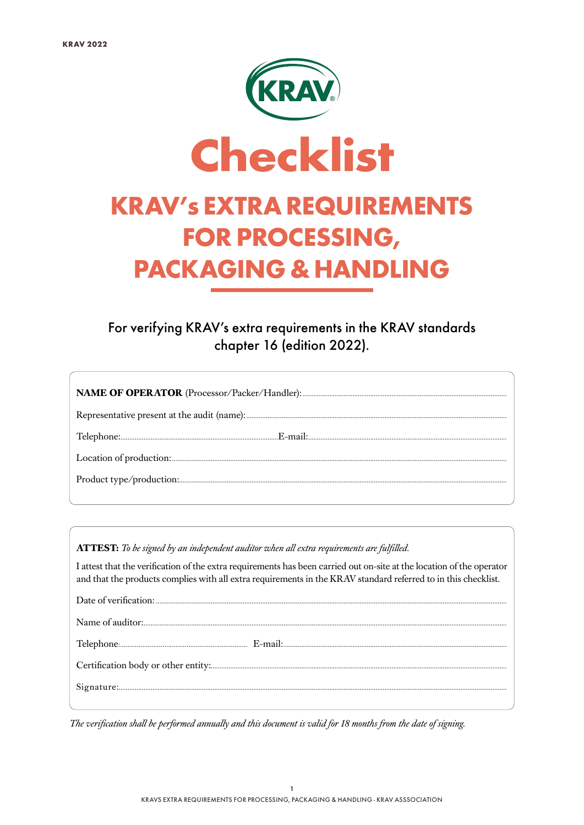

For verifying KRAV's extra requirements in the KRAV standards chapter 16 (edition 2022).

ATTEST: To be signed by an independent auditor when all extra requirements are fulfilled.

I attest that the verification of the extra requirements has been carried out on-site at the location of the operator and that the products complies with all extra requirements in the KRAV standard referred to in this checklist.

The verification shall be performed annually and this document is valid for 18 months from the date of signing.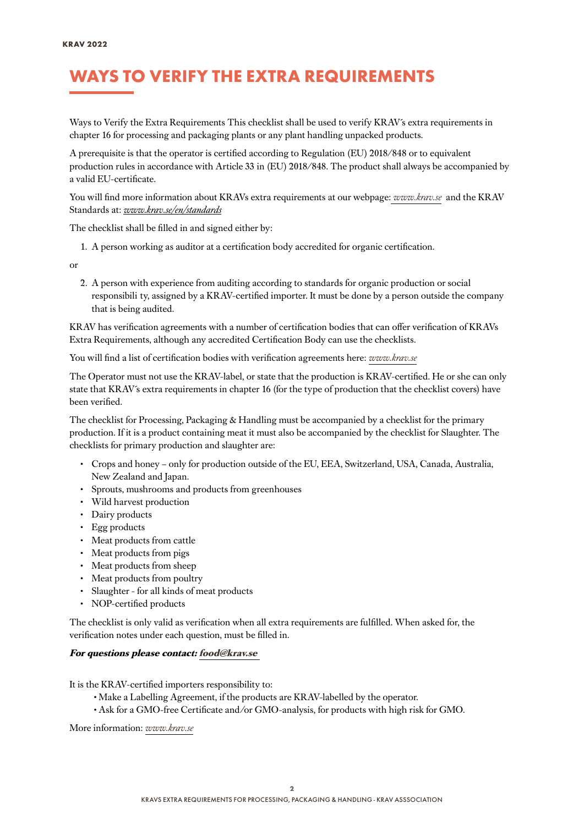## WAYS TO VERIFY THE EXTRA REQUIREMENTS

Ways to Verify the Extra Requirements This checklist shall be used to verify KRAV´s extra requirements in chapter 16 for processing and packaging plants or any plant handling unpacked products.

A prerequisite is that the operator is certified according to Regulation (EU) 2018/848 or to equivalent production rules in accordance with Article 33 in (EU) 2018/848. The product shall always be accompanied by a valid EU-certificate.

You will find more information about KRAVs extra requirements at our webpage: *[www.krav.se](www.krav.se/en/for-companies/extra-requirements-for-all-products/)* and the KRAV Standards at: *[www.krav.se/en/standards](https://www.krav.se/en/standards)*

The checklist shall be filled in and signed either by:

1. A person working as auditor at a certification body accredited for organic certification.

or

2. A person with experience from auditing according to standards for organic production or social responsibili ty, assigned by a KRAV-certified importer. It must be done by a person outside the company that is being audited.

KRAV has verification agreements with a number of certification bodies that can offer verification of KRAVs Extra Requirements, although any accredited Certification Body can use the checklists.

You will find a list of certification bodies with verification agreements here: *[www.krav.se](https://www.krav.se/en/asset/certification-bodies-with-verification-agreement/)*

The Operator must not use the KRAV-label, or state that the production is KRAV-certified. He or she can only state that KRAV´s extra requirements in chapter 16 (for the type of production that the checklist covers) have been verified.

The checklist for Processing, Packaging & Handling must be accompanied by a checklist for the primary production. If it is a product containing meat it must also be accompanied by the checklist for Slaughter. The checklists for primary production and slaughter are:

- Crops and honey only for production outside of the EU, EEA, Switzerland, USA, Canada, Australia, New Zealand and Japan.
- Sprouts, mushrooms and products from greenhouses
- Wild harvest production
- Dairy products
- Egg products
- Meat products from cattle
- Meat products from pigs
- Meat products from sheep
- Meat products from poultry
- Slaughter for all kinds of meat products
- NOP-certified products

The checklist is only valid as verification when all extra requirements are fulfilled. When asked for, the verification notes under each question, must be filled in.

#### **For questions please contact: [food@krav.se](mailto:food%40krav.se?subject=)**

It is the KRAV-certified importers responsibility to:

- Make a Labelling Agreement, if the products are KRAV-labelled by the operator.
- Ask for a GMO-free Certificate and/or GMO-analysis, for products with high risk for GMO.

More information: *[www.krav.se](https://www.krav.se/en/asset/certification-bodies-with-verification-agreement/)*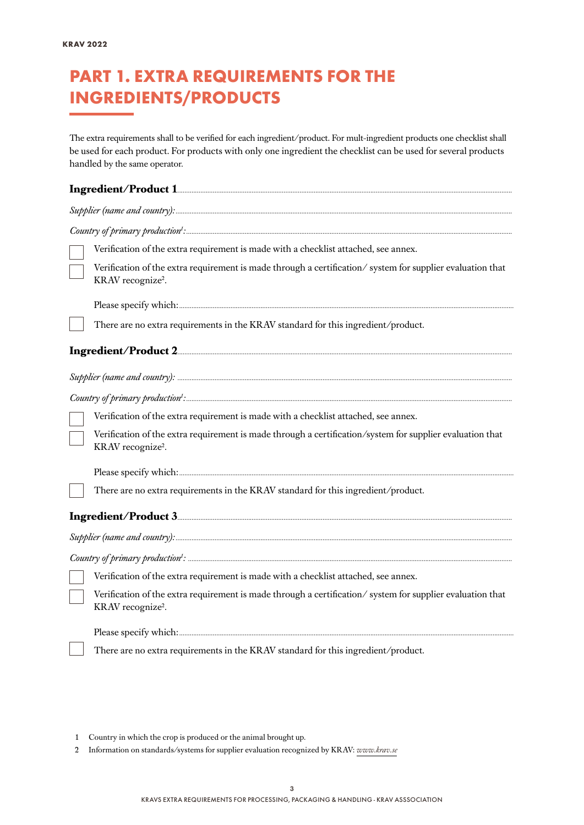## PART 1. EXTRA REQUIREMENTS FOR THE INGREDIENTS/PRODUCTS

The extra requirements shall to be verified for each ingredient/product. For mult-ingredient products one checklist shall be used for each product. For products with only one ingredient the checklist can be used for several products handled by the same operator.

| Verification of the extra requirement is made with a checklist attached, see annex.                                                        |
|--------------------------------------------------------------------------------------------------------------------------------------------|
| Verification of the extra requirement is made through a certification/system for supplier evaluation that<br>KRAV recognize <sup>2</sup> . |
|                                                                                                                                            |
| There are no extra requirements in the KRAV standard for this ingredient/product.                                                          |
|                                                                                                                                            |
|                                                                                                                                            |
|                                                                                                                                            |
| Verification of the extra requirement is made with a checklist attached, see annex.                                                        |
| Verification of the extra requirement is made through a certification/system for supplier evaluation that<br>KRAV recognize <sup>2</sup> . |
|                                                                                                                                            |
| There are no extra requirements in the KRAV standard for this ingredient/product.                                                          |
|                                                                                                                                            |
|                                                                                                                                            |
|                                                                                                                                            |
| Verification of the extra requirement is made with a checklist attached, see annex.                                                        |
| Verification of the extra requirement is made through a certification/system for supplier evaluation that<br>KRAV recognize <sup>2</sup> . |
|                                                                                                                                            |
| There are no extra requirements in the KRAV standard for this ingredient/product.                                                          |

- 1 Country in which the crop is produced or the animal brought up.
- 2 Information on standards/systems for supplier evaluation recognized by KRAV: *[www.krav.se](https://www.krav.se/en/asset/recognized-systems-for-certification-of-supplier-evaluation-which-fulfill-kravs-extra-requirements-for-social-responsibility/)*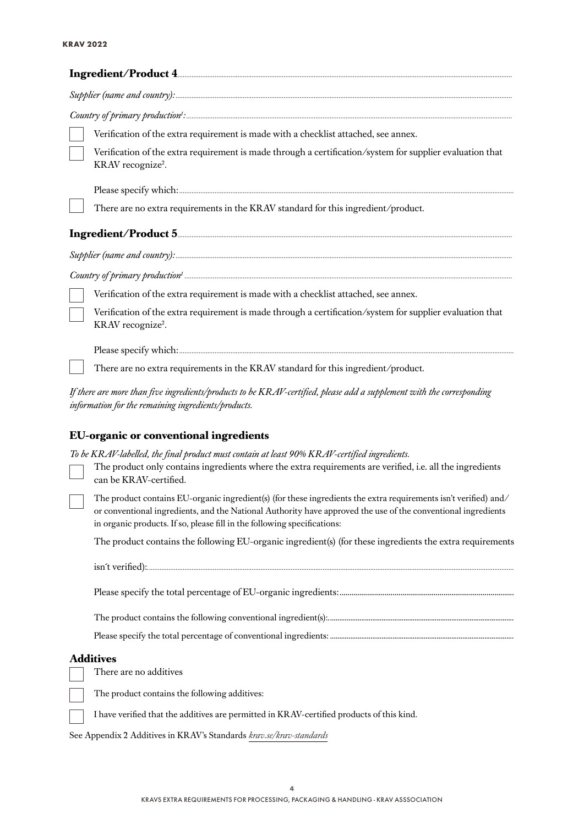| Verification of the extra requirement is made with a checklist attached, see annex.                                                                                                                                                                                                                           |
|---------------------------------------------------------------------------------------------------------------------------------------------------------------------------------------------------------------------------------------------------------------------------------------------------------------|
| Verification of the extra requirement is made through a certification/system for supplier evaluation that<br>KRAV recognize <sup>2</sup> .                                                                                                                                                                    |
|                                                                                                                                                                                                                                                                                                               |
| There are no extra requirements in the KRAV standard for this ingredient/product.                                                                                                                                                                                                                             |
|                                                                                                                                                                                                                                                                                                               |
|                                                                                                                                                                                                                                                                                                               |
|                                                                                                                                                                                                                                                                                                               |
| Verification of the extra requirement is made with a checklist attached, see annex.                                                                                                                                                                                                                           |
| Verification of the extra requirement is made through a certification/system for supplier evaluation that<br>KRAV recognize <sup>2</sup> .                                                                                                                                                                    |
|                                                                                                                                                                                                                                                                                                               |
| There are no extra requirements in the KRAV standard for this ingredient/product.                                                                                                                                                                                                                             |
| If there are more than five ingredients/products to be KRAV-certified, please add a supplement with the corresponding<br>information for the remaining ingredients/products.                                                                                                                                  |
| <b>EU-organic or conventional ingredients</b>                                                                                                                                                                                                                                                                 |
| To be KRAV-labelled, the final product must contain at least 90% KRAV-certified ingredients.                                                                                                                                                                                                                  |
| The product only contains ingredients where the extra requirements are verified, i.e. all the ingredients<br>can be KRAV-certified.                                                                                                                                                                           |
| The product contains EU-organic ingredient(s) (for these ingredients the extra requirements isn't verified) and/<br>or conventional ingredients, and the National Authority have approved the use of the conventional ingredients<br>in organic products. If so, please fill in the following specifications: |
| The product contains the following EU-organic ingredient(s) (for these ingredients the extra requirements                                                                                                                                                                                                     |
|                                                                                                                                                                                                                                                                                                               |
|                                                                                                                                                                                                                                                                                                               |
|                                                                                                                                                                                                                                                                                                               |

The product contains the following conventional ingredient(s):.....................................................................................................

Please specify the total percentage of conventional ingredients: ....................................................................................................

#### **Additives**

There are no additives

The product contains the following additives:

I have verified that the additives are permitted in KRAV-certified products of this kind.

See Appendix 2 Additives in KRAV's Standards *[krav.se/krav-standards](https://www.krav.se/en/standards/download-krav-standards/)*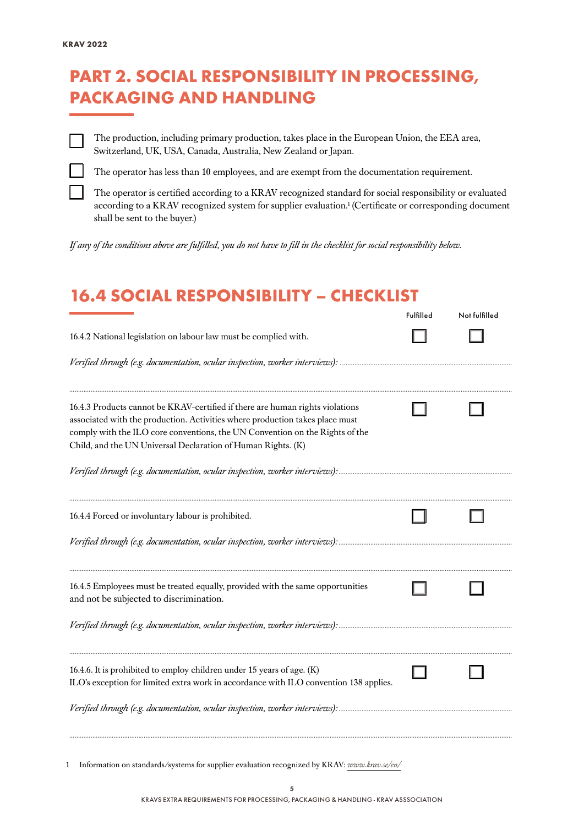### PART 2. SOCIAL RESPONSIBILITY IN PROCESSING, PACKAGING AND HANDLING

The production, including primary production, takes place in the European Union, the EEA area, Switzerland, UK, USA, Canada, Australia, New Zealand or Japan.

The operator has less than 10 employees, and are exempt from the documentation requirement.

The operator is certified according to a KRAV recognized standard for social responsibility or evaluated according to a KRAV recognized system for supplier evaluation.<sup>1</sup> (Certificate or corresponding document shall be sent to the buyer.)

*If any of the conditions above are fulfilled, you do not have to fill in the checklist for social responsibility below.*

#### 16.4 SOCIAL RESPONSIBILITY – CHECKLIST

|                                                                                                                                                                                                                                                                                                               | Fulfilled | Not fulfilled |
|---------------------------------------------------------------------------------------------------------------------------------------------------------------------------------------------------------------------------------------------------------------------------------------------------------------|-----------|---------------|
| 16.4.2 National legislation on labour law must be complied with.                                                                                                                                                                                                                                              |           |               |
|                                                                                                                                                                                                                                                                                                               |           |               |
| 16.4.3 Products cannot be KRAV-certified if there are human rights violations<br>associated with the production. Activities where production takes place must<br>comply with the ILO core conventions, the UN Convention on the Rights of the<br>Child, and the UN Universal Declaration of Human Rights. (K) |           |               |
|                                                                                                                                                                                                                                                                                                               |           |               |
| 16.4.4 Forced or involuntary labour is prohibited.                                                                                                                                                                                                                                                            |           |               |
|                                                                                                                                                                                                                                                                                                               |           |               |
| 16.4.5 Employees must be treated equally, provided with the same opportunities<br>and not be subjected to discrimination.                                                                                                                                                                                     |           |               |
|                                                                                                                                                                                                                                                                                                               |           |               |
| 16.4.6. It is prohibited to employ children under 15 years of age. (K)<br>ILO's exception for limited extra work in accordance with ILO convention 138 applies.                                                                                                                                               |           |               |
|                                                                                                                                                                                                                                                                                                               |           |               |

1 Information on standards/systems for supplier evaluation recognized by KRAV: *[www.krav.se/en/](https://www.krav.se/en/asset/recognized-systems-for-certification-of-supplier-evaluation-which-fulfill-kravs-extra-requirements-for-social-responsibility/)*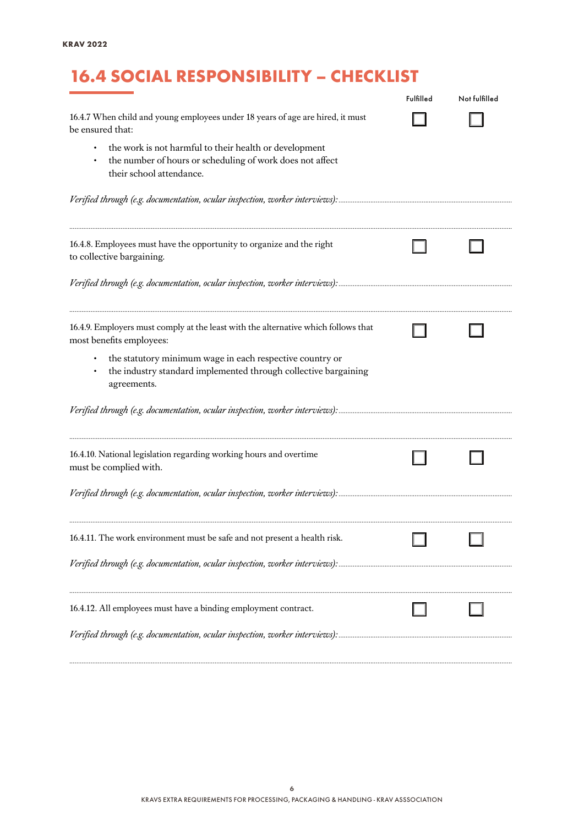# 16.4 SOCIAL RESPONSIBILITY – CHECKLIST

|                                                                                                                                                 | Fulfilled | Not fulfilled |
|-------------------------------------------------------------------------------------------------------------------------------------------------|-----------|---------------|
| 16.4.7 When child and young employees under 18 years of age are hired, it must<br>be ensured that:                                              |           |               |
| the work is not harmful to their health or development<br>the number of hours or scheduling of work does not affect<br>their school attendance. |           |               |
|                                                                                                                                                 |           |               |
| 16.4.8. Employees must have the opportunity to organize and the right<br>to collective bargaining.                                              |           |               |
|                                                                                                                                                 |           |               |
| 16.4.9. Employers must comply at the least with the alternative which follows that<br>most benefits employees:                                  |           |               |
| the statutory minimum wage in each respective country or<br>the industry standard implemented through collective bargaining<br>agreements.      |           |               |
|                                                                                                                                                 |           |               |
| 16.4.10. National legislation regarding working hours and overtime<br>must be complied with.                                                    |           |               |
|                                                                                                                                                 |           |               |
| 16.4.11. The work environment must be safe and not present a health risk.                                                                       |           |               |
|                                                                                                                                                 |           |               |
| 16.4.12. All employees must have a binding employment contract.                                                                                 |           |               |
|                                                                                                                                                 |           |               |

*..........................................................................................................................................................................................................................................................*